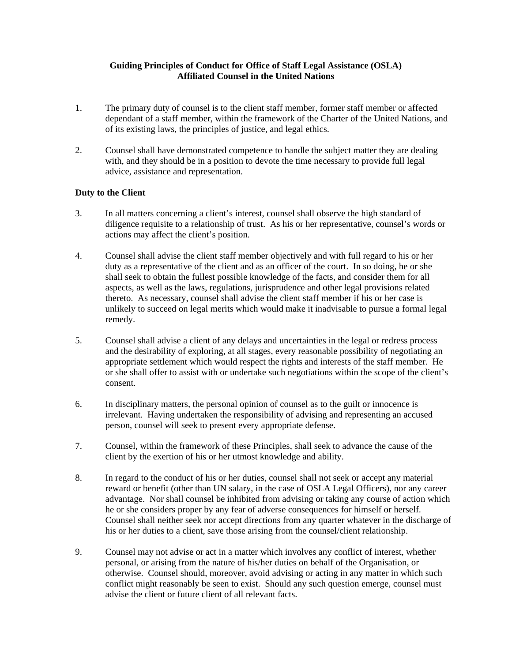## **Guiding Principles of Conduct for Office of Staff Legal Assistance (OSLA) Affiliated Counsel in the United Nations**

- 1. The primary duty of counsel is to the client staff member, former staff member or affected dependant of a staff member, within the framework of the Charter of the United Nations, and of its existing laws, the principles of justice, and legal ethics.
- 2. Counsel shall have demonstrated competence to handle the subject matter they are dealing with, and they should be in a position to devote the time necessary to provide full legal advice, assistance and representation.

## **Duty to the Client**

- 3. In all matters concerning a client's interest, counsel shall observe the high standard of diligence requisite to a relationship of trust. As his or her representative, counsel's words or actions may affect the client's position.
- 4. Counsel shall advise the client staff member objectively and with full regard to his or her duty as a representative of the client and as an officer of the court. In so doing, he or she shall seek to obtain the fullest possible knowledge of the facts, and consider them for all aspects, as well as the laws, regulations, jurisprudence and other legal provisions related thereto. As necessary, counsel shall advise the client staff member if his or her case is unlikely to succeed on legal merits which would make it inadvisable to pursue a formal legal remedy.
- 5. Counsel shall advise a client of any delays and uncertainties in the legal or redress process and the desirability of exploring, at all stages, every reasonable possibility of negotiating an appropriate settlement which would respect the rights and interests of the staff member. He or she shall offer to assist with or undertake such negotiations within the scope of the client's consent.
- 6. In disciplinary matters, the personal opinion of counsel as to the guilt or innocence is irrelevant. Having undertaken the responsibility of advising and representing an accused person, counsel will seek to present every appropriate defense.
- 7. Counsel, within the framework of these Principles, shall seek to advance the cause of the client by the exertion of his or her utmost knowledge and ability.
- 8. In regard to the conduct of his or her duties, counsel shall not seek or accept any material reward or benefit (other than UN salary, in the case of OSLA Legal Officers), nor any career advantage. Nor shall counsel be inhibited from advising or taking any course of action which he or she considers proper by any fear of adverse consequences for himself or herself. Counsel shall neither seek nor accept directions from any quarter whatever in the discharge of his or her duties to a client, save those arising from the counsel/client relationship.
- 9. Counsel may not advise or act in a matter which involves any conflict of interest, whether personal, or arising from the nature of his/her duties on behalf of the Organisation, or otherwise. Counsel should, moreover, avoid advising or acting in any matter in which such conflict might reasonably be seen to exist. Should any such question emerge, counsel must advise the client or future client of all relevant facts.